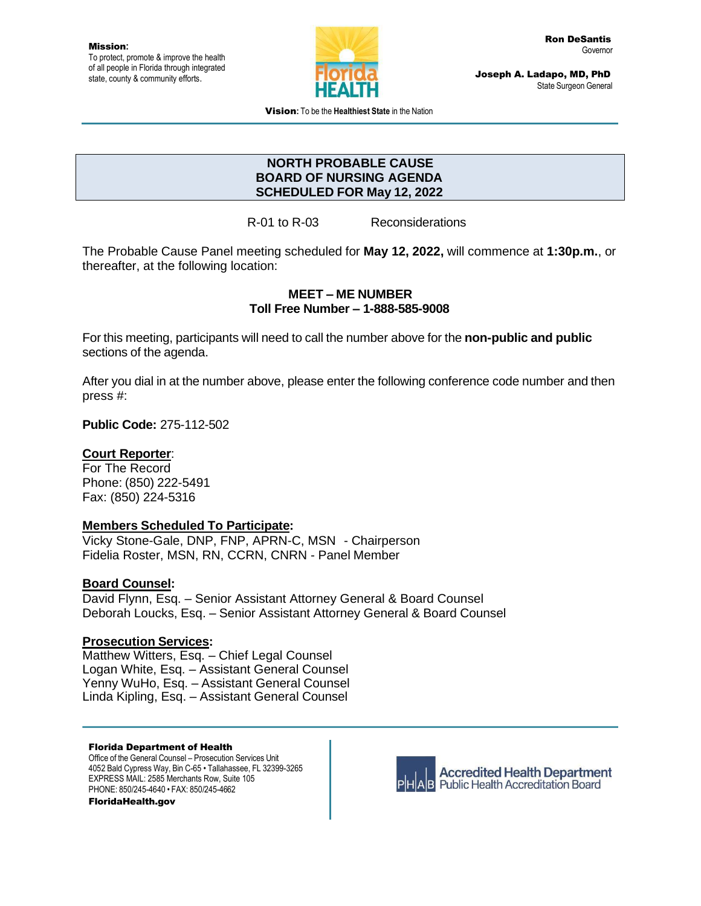

Joseph A. Ladapo, MD, PhD State Surgeon General

Vision**:** To be the **Healthiest State** in the Nation

# **NORTH PROBABLE CAUSE BOARD OF NURSING AGENDA SCHEDULED FOR May 12, 2022**

R-01 to R-03 Reconsiderations

The Probable Cause Panel meeting scheduled for **May 12, 2022,** will commence at **1:30p.m.**, or thereafter, at the following location:

### **MEET – ME NUMBER Toll Free Number – 1-888-585-9008**

For this meeting, participants will need to call the number above for the **non-public and public** sections of the agenda.

After you dial in at the number above, please enter the following conference code number and then press #:

**Public Code:** 275-112-502

## **Court Reporter**:

For The Record Phone: (850) 222-5491 Fax: (850) 224-5316

## **Members Scheduled To Participate:**

Vicky Stone-Gale, DNP, FNP, APRN-C, MSN - Chairperson Fidelia Roster, MSN, RN, CCRN, CNRN - Panel Member

## **Board Counsel:**

David Flynn, Esq. – Senior Assistant Attorney General & Board Counsel Deborah Loucks, Esq. – Senior Assistant Attorney General & Board Counsel

### **Prosecution Services:**

Matthew Witters, Esq. – Chief Legal Counsel Logan White, Esq. – Assistant General Counsel Yenny WuHo, Esq. – Assistant General Counsel Linda Kipling, Esq. – Assistant General Counsel

#### Florida Department of Health

Office of the General Counsel – Prosecution Services Unit 4052 Bald Cypress Way, Bin C-65 • Tallahassee, FL 32399-3265 EXPRESS MAIL: 2585 Merchants Row, Suite 105 PHONE: 850/245-4640 • FAX: 850/245-4662 FloridaHealth.gov



**Accredited Health Department AB** Public Health Accreditation Board